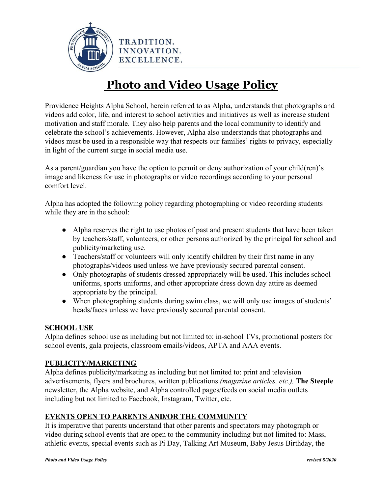

# **Photo and Video Usage Policy**

Providence Heights Alpha School, herein referred to as Alpha, understands that photographs and videos add color, life, and interest to school activities and initiatives as well as increase student motivation and staff morale. They also help parents and the local community to identify and celebrate the school's achievements. However, Alpha also understands that photographs and videos must be used in a responsible way that respects our families' rights to privacy, especially in light of the current surge in social media use.

As a parent/guardian you have the option to permit or deny authorization of your child(ren)'s image and likeness for use in photographs or video recordings according to your personal comfort level.

Alpha has adopted the following policy regarding photographing or video recording students while they are in the school:

- Alpha reserves the right to use photos of past and present students that have been taken by teachers/staff, volunteers, or other persons authorized by the principal for school and publicity/marketing use.
- Teachers/staff or volunteers will only identify children by their first name in any photographs/videos used unless we have previously secured parental consent.
- Only photographs of students dressed appropriately will be used. This includes school uniforms, sports uniforms, and other appropriate dress down day attire as deemed appropriate by the principal.
- When photographing students during swim class, we will only use images of students' heads/faces unless we have previously secured parental consent.

### **SCHOOL USE**

Alpha defines school use as including but not limited to: in-school TVs, promotional posters for school events, gala projects, classroom emails/videos, APTA and AAA events.

### **PUBLICITY/MARKETING**

Alpha defines publicity/marketing as including but not limited to: print and television advertisements, flyers and brochures, written publications *(magazine articles, etc.),* **The Steeple** newsletter, the Alpha website, and Alpha controlled pages/feeds on social media outlets including but not limited to Facebook, Instagram, Twitter, etc.

### **EVENTS OPEN TO PARENTS AND/OR THE COMMUNITY**

It is imperative that parents understand that other parents and spectators may photograph or video during school events that are open to the community including but not limited to: Mass, athletic events, special events such as Pi Day, Talking Art Museum, Baby Jesus Birthday, the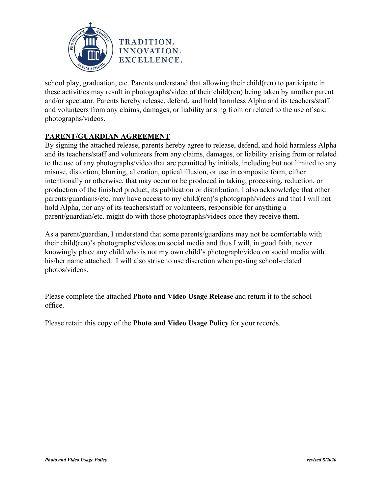

school play, graduation, etc. Parents understand that allowing their child(ren) to participate in these activities may result in photographs/video of their child(ren) being taken by another parent and/or spectator. Parents hereby release, defend, and hold harmless Alpha and its teachers/staff and volunteers from any claims, damages, or liability arising from or related to the use of said photographs/videos.

### **PARENT/GUARDIAN AGREEMENT**

By signing the attached release, parents hereby agree to release, defend, and hold harmless Alpha and its teachers/staff and volunteers from any claims, damages, or liability arising from or related to the use of any photographs/video that are permitted by initials, including but not limited to any misuse, distortion, blurring, alteration, optical illusion, or use in composite form, either intentionally or otherwise, that may occur or be produced in taking, processing, reduction, or production of the finished product, its publication or distribution. I also acknowledge that other parents/guardians/etc. may have access to my child(ren)'s photograph/videos and that I will not hold Alpha, nor any of its teachers/staff or volunteers, responsible for anything a parent/guardian/etc. might do with those photographs/videos once they receive them.

As a parent/guardian, I understand that some parents/guardians may not be comfortable with their child(ren)'s photographs/videos on social media and thus I will, in good faith, never knowingly place any child who is not my own child's photograph/video on social media with his/her name attached. I will also strive to use discretion when posting school-related photos/videos.

Please complete the attached **Photo and Video Usage Release** and return it to the school office.

Please retain this copy of the **Photo and Video Usage Policy** for your records.